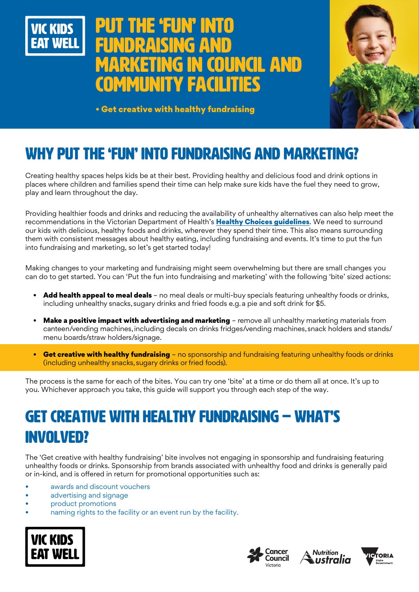

# **PUT THE 'FUN' INTO** fundraising and marketing in Council and community facilities



• Get creative with healthy fundraising

# WHY PUT THE 'FUN' INTO FUNDRAISING AND MARKETING?

Creating healthy spaces helps kids be at their best. Providing healthy and delicious food and drink options in places where children and families spend their time can help make sure kids have the fuel they need to grow, play and learn throughout the day.

Providing healthier foods and drinks and reducing the availability of unhealthy alternatives can also help meet the recommendations in the Victorian Department of Health's [Healthy Choices guidelines](https://www.health.vic.gov.au/preventive-health/healthy-choices). We need to surround our kids with delicious, healthy foods and drinks, wherever they spend their time. This also means surrounding them with consistent messages about healthy eating, including fundraising and events. It's time to put the fun into fundraising and marketing, so let's get started today!

Making changes to your marketing and fundraising might seem overwhelming but there are small changes you can do to get started. You can 'Put the fun into fundraising and marketing' with the following 'bite' sized actions:

- Add health appeal to meal deals no meal deals or multi-buy specials featuring unhealthy foods or drinks, including unhealthy snacks, sugary drinks and fried foods e.g. a pie and soft drink for \$5.
- Make a positive impact with advertising and marketing remove all unhealthy marketing materials from canteen/vending machines, including decals on drinks fridges/vending machines, snack holders and stands/ menu boards/straw holders/signage.
- **Get creative with healthy fundraising –** no sponsorship and fundraising featuring unhealthy foods or drinks (including unhealthy snacks, sugary drinks or fried foods).

The process is the same for each of the bites. You can try one 'bite' at a time or do them all at once. It's up to you. Whichever approach you take, this guide will support you through each step of the way.

## GET CREATIVE WITH HEALTHY FUNDRAISING – WHAT'S INVOLVED?

The 'Get creative with healthy fundraising' bite involves not engaging in sponsorship and fundraising featuring unhealthy foods or drinks. Sponsorship from brands associated with unhealthy food and drinks is generally paid or in-kind, and is offered in return for promotional opportunities such as:

- awards and discount vouchers
- advertising and signage
- product promotions
- haming rights to the facility or an event run by the facility.







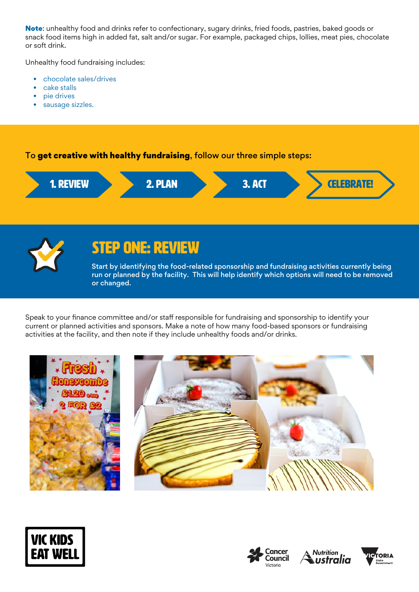Note: unhealthy food and drinks refer to confectionary, sugary drinks, fried foods, pastries, baked goods or snack food items high in added fat, salt and/or sugar. For example, packaged chips, lollies, meat pies, chocolate or soft drink.

Unhealthy food fundraising includes:

- chocolate sales/drives
- cake stalls
- pie drives
- sausage sizzles.

### To get creative with healthy fundraising, follow our three simple steps:





### STEP ONE: REVIEW

Start by identifying the food-related sponsorship and fundraising activities currently being run or planned by the facility. This will help identify which options will need to be removed or changed.

Speak to your finance committee and/or staff responsible for fundraising and sponsorship to identify your current or planned activities and sponsors. Make a note of how many food-based sponsors or fundraising activities at the facility, and then note if they include unhealthy foods and/or drinks.









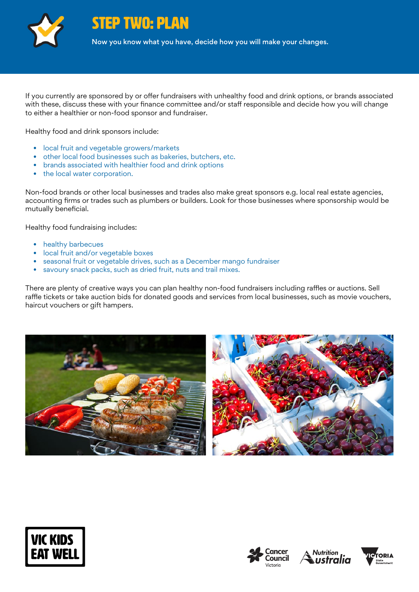

STEP TWO: PLAN

Now you know what you have, decide how you will make your changes.

If you currently are sponsored by or offer fundraisers with unhealthy food and drink options, or brands associated with these, discuss these with your finance committee and/or staff responsible and decide how you will change to either a healthier or non-food sponsor and fundraiser.

Healthy food and drink sponsors include:

- local fruit and vegetable growers/markets
- other local food businesses such as bakeries, butchers, etc.
- brands associated with healthier food and drink options
- the local water corporation.

Non-food brands or other local businesses and trades also make great sponsors e.g. local real estate agencies, accounting firms or trades such as plumbers or builders. Look for those businesses where sponsorship would be mutually beneficial.

Healthy food fundraising includes:

- healthy barbecues
- local fruit and/or vegetable boxes
- seasonal fruit or vegetable drives, such as a December mango fundraiser
- savoury snack packs, such as dried fruit, nuts and trail mixes.

There are plenty of creative ways you can plan healthy non-food fundraisers including raffles or auctions. Sell raffle tickets or take auction bids for donated goods and services from local businesses, such as movie vouchers, haircut vouchers or gift hampers.











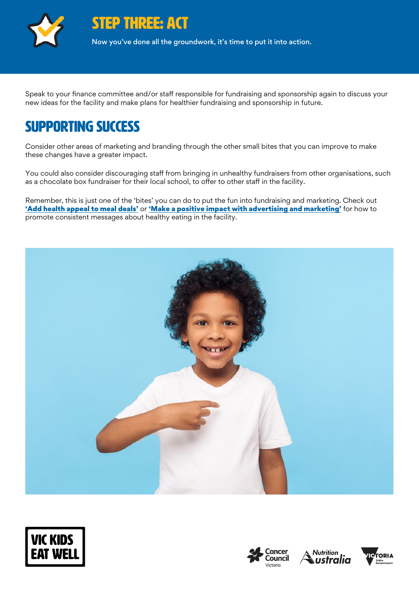

STEP THREE: ACT

Now you've done all the groundwork, it's time to put it into action.

Speak to your finance committee and/or staff responsible for fundraising and sponsorship again to discuss your new ideas for the facility and make plans for healthier fundraising and sponsorship in future.

## Supporting success

Consider other areas of marketing and branding through the other small bites that you can improve to make these changes have a greater impact.

You could also consider discouraging staff from bringing in unhealthy fundraisers from other organisations, such as a chocolate box fundraiser for their local school, to offer to other staff in the facility.

Remember, this is just one of the 'bites' you can do to put the fun into fundraising and marketing. Check out ['Add health appeal to meal deals'](https://www.vickidseatwell.health.vic.gov.au/resources) or ['Make a positive impact with advertising and marketing'](https://www.vickidseatwell.health.vic.gov.au/resources) for how to promote consistent messages about healthy eating in the facility.